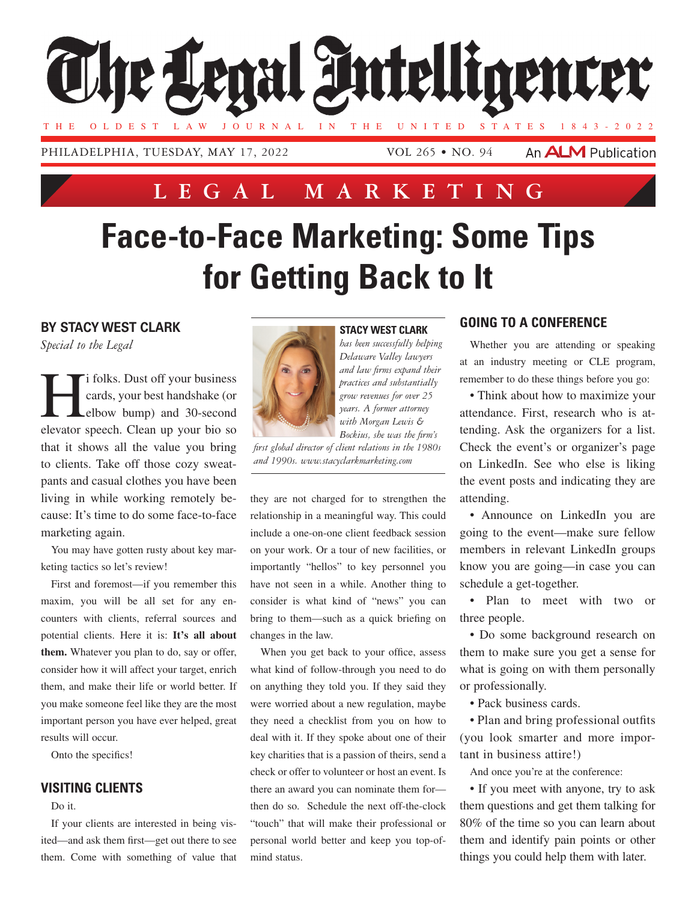

PHILADELPHIA, TUESDAY, MAY 17, 2022

VOL 265 • NO. 94

An **ALM** Publication

# **Lega l Marketing**

# **Face-to-Face Marketing: Some Tips for Getting Back to It**

# **By Stacy West Clark**

*Special to the Legal*

i folks. Dust off your business<br>cards, your best handshake (or<br>elbow bump) and 30-second cards, your best handshake (or elbow bump) and 30-second elevator speech. Clean up your bio so that it shows all the value you bring to clients. Take off those cozy sweatpants and casual clothes you have been living in while working remotely because: It's time to do some face-to-face marketing again.

You may have gotten rusty about key marketing tactics so let's review!

First and foremost—if you remember this maxim, you will be all set for any encounters with clients, referral sources and potential clients. Here it is: **It's all about them.** Whatever you plan to do, say or offer, consider how it will affect your target, enrich them, and make their life or world better. If you make someone feel like they are the most important person you have ever helped, great results will occur.

Onto the specifics!

#### **Visiting Clients**

Do it.

If your clients are interested in being visited—and ask them first—get out there to see them. Come with something of value that



#### **Stacy West Clark**

*has been successfully helping Delaware Valley lawyers and law firms expand their practices and substantially grow revenues for over 25 years. A former attorney with Morgan Lewis & Bockius, she was the firm's* 

*first global director of client relations in the 1980s and 1990s. www.stacyclarkmarketing.com*

they are not charged for to strengthen the relationship in a meaningful way. This could include a one-on-one client feedback session on your work. Or a tour of new facilities, or importantly "hellos" to key personnel you have not seen in a while. Another thing to consider is what kind of "news" you can bring to them—such as a quick briefing on changes in the law.

When you get back to your office, assess what kind of follow-through you need to do on anything they told you. If they said they were worried about a new regulation, maybe they need a checklist from you on how to deal with it. If they spoke about one of their key charities that is a passion of theirs, send a check or offer to volunteer or host an event. Is there an award you can nominate them for then do so. Schedule the next off-the-clock "touch" that will make their professional or personal world better and keep you top-ofmind status.

## **Going to a Conference**

Whether you are attending or speaking at an industry meeting or CLE program, remember to do these things before you go:

• Think about how to maximize your attendance. First, research who is attending. Ask the organizers for a list. Check the event's or organizer's page on LinkedIn. See who else is liking the event posts and indicating they are attending.

• Announce on LinkedIn you are going to the event—make sure fellow members in relevant LinkedIn groups know you are going—in case you can schedule a get-together.

• Plan to meet with two or three people.

• Do some background research on them to make sure you get a sense for what is going on with them personally or professionally.

• Pack business cards.

• Plan and bring professional outfits (you look smarter and more important in business attire!)

And once you're at the conference:

• If you meet with anyone, try to ask them questions and get them talking for 80% of the time so you can learn about them and identify pain points or other things you could help them with later.